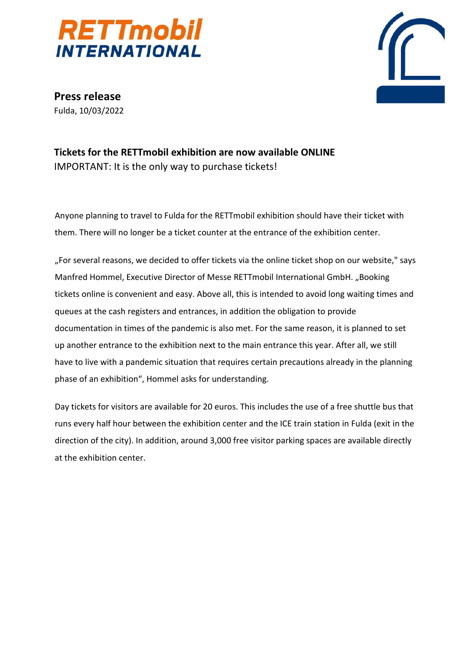



**Press release** Fulda, 10/03/2022

## **Tickets for the RETTmobil exhibition are now available ONLINE** IMPORTANT: It is the only way to purchase tickets!

Anyone planning to travel to Fulda for the RETTmobil exhibition should have their ticket with them. There will no longer be a ticket counter at the entrance of the exhibition center.

"For several reasons, we decided to offer tickets via the online ticket shop on our website," says Manfred Hommel, Executive Director of Messe RETTmobil International GmbH. "Booking tickets online is convenient and easy. Above all, this is intended to avoid long waiting times and queues at the cash registers and entrances, in addition the obligation to provide documentation in times of the pandemic is also met. For the same reason, it is planned to set up another entrance to the exhibition next to the main entrance this year. After all, we still have to live with a pandemic situation that requires certain precautions already in the planning phase of an exhibition", Hommel asks for understanding.

Day tickets for visitors are available for 20 euros. This includes the use of a free shuttle bus that runs every half hour between the exhibition center and the ICE train station in Fulda (exit in the direction of the city). In addition, around 3,000 free visitor parking spaces are available directly at the exhibition center.